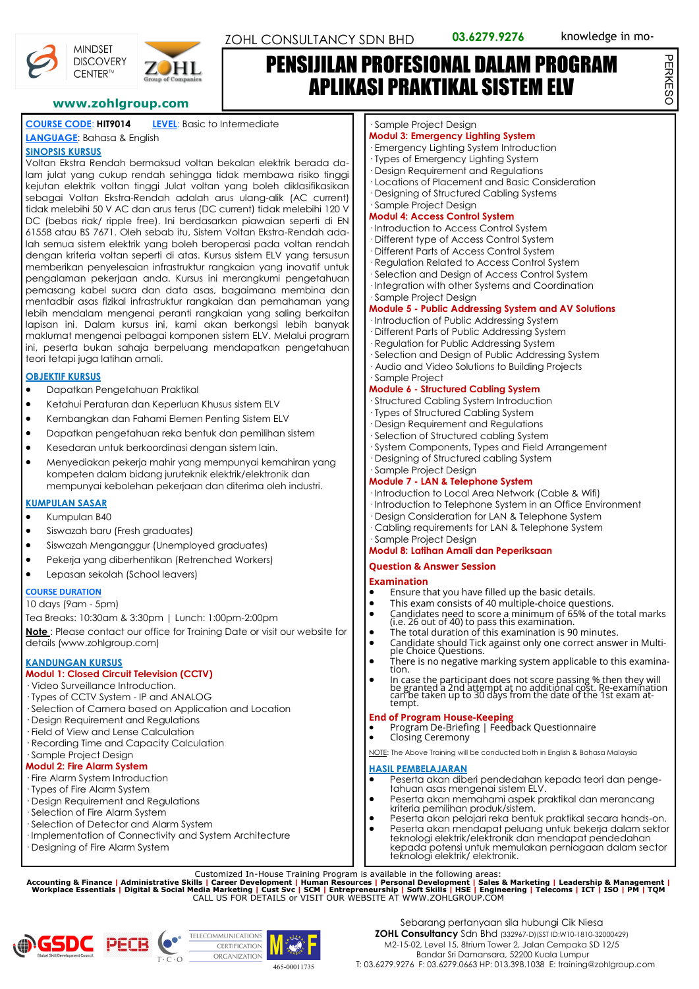PERKESO

PERKESC



**DISCOVERY** CENTER™

#### **COURSE CODE**: **HIT9014 LEVEL**: Basic to Intermediate

**LANGUAGE**: Bahasa & English

#### **SINOPSIS KURSUS**

Voltan Ekstra Rendah bermaksud voltan bekalan elektrik berada dalam julat yang cukup rendah sehingga tidak membawa risiko tinggi kejutan elektrik voltan tinggi Julat voltan yang boleh diklasifikasikan sebagai Voltan Ekstra-Rendah adalah arus ulang-alik (AC current) tidak melebihi 50 V AC dan arus terus (DC current) tidak melebihi 120 V DC (bebas riak/ ripple free). Ini berdasarkan piawaian seperti di EN 61558 atau BS 7671. Oleh sebab itu, Sistem Voltan Ekstra-Rendah adalah semua sistem elektrik yang boleh beroperasi pada voltan rendah dengan kriteria voltan seperti di atas. Kursus sistem ELV yang tersusun memberikan penyelesaian infrastruktur rangkaian yang inovatif untuk pengalaman pekerjaan anda. Kursus ini merangkumi pengetahuan pemasang kabel suara dan data asas, bagaimana membina dan mentadbir asas fizikal infrastruktur rangkaian dan pemahaman yang lebih mendalam mengenai peranti rangkaian yang saling berkaitan lapisan ini. Dalam kursus ini, kami akan berkongsi lebih banyak maklumat mengenai pelbagai komponen sistem ELV. Melalui program ini, peserta bukan sahaja berpeluang mendapatkan pengetahuan teori tetapi juga latihan amali.

#### **OBJEKTIF KURSUS**

- Dapatkan Pengetahuan Praktikal
- Ketahui Peraturan dan Keperluan Khusus sistem ELV
- Kembangkan dan Fahami Elemen Penting Sistem ELV
- Dapatkan pengetahuan reka bentuk dan pemilihan sistem
- Kesedaran untuk berkoordinasi dengan sistem lain.
- Menyediakan pekerja mahir yang mempunyai kemahiran yang kompeten dalam bidang juruteknik elektrik/elektronik dan mempunyai kebolehan pekerjaan dan diterima oleh industri.

#### **KUMPULAN SASAR**

- Kumpulan B40
- Siswazah baru (Fresh graduates)
- Siswazah Menganggur (Unemployed graduates)
- Pekerja yang diberhentikan (Retrenched Workers)
- Lepasan sekolah (School leavers)

#### **COURSE DURATION**

#### 10 days (9am - 5pm)

Tea Breaks: 10:30am & 3:30pm | Lunch: 1:00pm-2:00pm

**Note** : Please contact our office for Training Date or visit our website for details (www.zohlgroup.com)

#### **KANDUNGAN KURSUS**

# **Modul 1: Closed Circuit Television (CCTV)**

- · Video Surveillance Introduction.
- · Types of CCTV System IP and ANALOG
- · Selection of Camera based on Application and Location
- · Design Requirement and Regulations · Field of View and Lense Calculation
- · Recording Time and Capacity Calculation
- · Sample Project Design

# **Modul 2: Fire Alarm System**

- · Fire Alarm System Introduction
- · Types of Fire Alarm System
- · Design Requirement and Regulations
- · Selection of Fire Alarm System
- · Selection of Detector and Alarm System
- · Implementation of Connectivity and System Architecture
- · Designing of Fire Alarm System

#### · Sample Project Design

- **Modul 3: Emergency Lighting System**
- · Emergency Lighting System Introduction
- · Types of Emergency Lighting System
- · Design Requirement and Regulations
- · Locations of Placement and Basic Consideration · Designing of Structured Cabling Systems
- · Sample Project Design

#### **Modul 4: Access Control System**

- · Introduction to Access Control System
- · Different type of Access Control System
- · Different Parts of Access Control System
- · Regulation Related to Access Control System
- · Selection and Design of Access Control System
- · Integration with other Systems and Coordination
- · Sample Project Design

#### **Module 5 - Public Addressing System and AV Solutions**

- · Introduction of Public Addressing System
- · Different Parts of Public Addressing System
- · Regulation for Public Addressing System
- · Selection and Design of Public Addressing System · Audio and Video Solutions to Building Projects

#### · Sample Project **Module 6 - Structured Cabling System**

- · Structured Cabling System Introduction
- · Types of Structured Cabling System
- · Design Requirement and Regulations
- · Selection of Structured cabling System
- · System Components, Types and Field Arrangement
- · Designing of Structured cabling System
- · Sample Project Design

#### **Module 7 - LAN & Telephone System**

- · Introduction to Local Area Network (Cable & Wifi)
- · Introduction to Telephone System in an Office Environment
- · Design Consideration for LAN & Telephone System
- · Cabling requirements for LAN & Telephone System

#### · Sample Project Design **Modul 8: Latihan Amali dan Peperiksaan**

#### **Question & Answer Session**

#### **Examination**

- Ensure that you have filled up the basic details.
- This exam consists of 40 multiple-choice questions.<br>• Candidates need to score a minimum of 65% of the • Candidates need to score a minimum of 65% of the total marks (i.e. 26 out of 40) to pass this examination.
- The total duration of this examination is 90 minutes.
- Candidate should Tick against only one correct answer in Multi-ple Choice Questions.
- There is no negative marking system applicable to this examination.
- In case the participant does not score passing % then they will be granted a 2nd attempt at no additional cost. Re-examination can be taken up to 30 days from the date of the 1st exam attempt.

- **End of Program House-Keeping** Program De-Briefing | Feedback Questionnaire
- Closing Ceremony

NOTE: The Above Training will be conducted both in English & Bahasa Malaysia

#### **HASIL PEMBELAJARAN**

- Peserta akan diberi pendedahan kepada teori dan pengetahuan asas mengenai sistem ELV.
- Peserta akan memahami aspek praktikal dan merancang kriteria pemilihan produk/sistem.
- Peserta akan pelajari reka bentuk praktikal secara hands-on. • Peserta akan mendapat peluang untuk bekerja dalam sektor
- teknologi elektrik/elektronik dan mendapat pendedahan kepada potensi untuk memulakan perniagaan dalam sector teknologi elektrik/ elektronik.

Customized In-House Training Program is available in the following areas:<br>Accounting & Finance | Administrative Skills | Career Development | Human Resources | Personal Development | Sales & Marketing | Leadership & Manag







# PENSIJILAN PROFESIONAL DALAM PROGRAM APLIKASI PRAKTIKAL SISTEM ELV